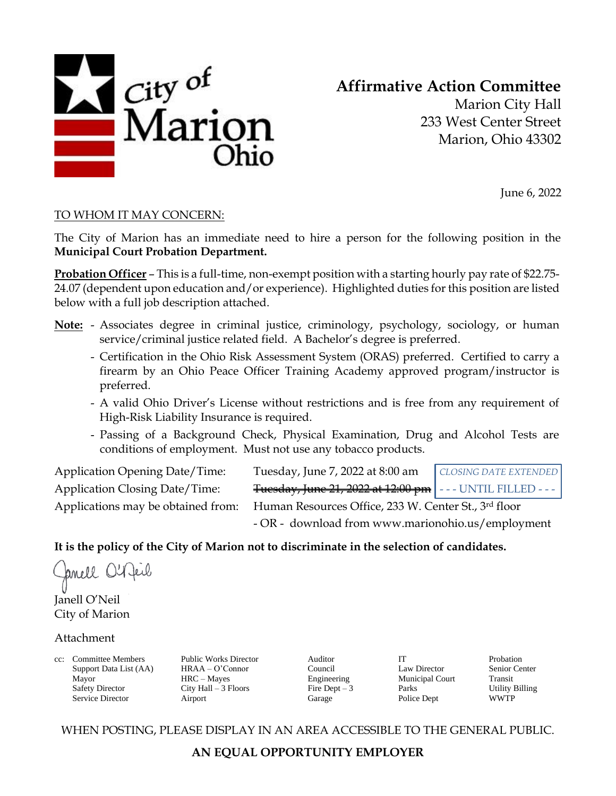

# **Affirmative Action Committee**

Marion City Hall 233 West Center Street Marion, Ohio 43302

June 6, 2022

### TO WHOM IT MAY CONCERN:

The City of Marion has an immediate need to hire a person for the following position in the **Municipal Court Probation Department.**

**Probation Officer** – This is a full-time, non-exempt position with a starting hourly pay rate of \$22.75- 24.07 (dependent upon education and/or experience). Highlighted duties for this position are listed below with a full job description attached.

- **Note:** Associates degree in criminal justice, criminology, psychology, sociology, or human service/criminal justice related field. A Bachelor's degree is preferred.
	- Certification in the Ohio Risk Assessment System (ORAS) preferred. Certified to carry a firearm by an Ohio Peace Officer Training Academy approved program/instructor is preferred.
	- A valid Ohio Driver's License without restrictions and is free from any requirement of High-Risk Liability Insurance is required.
	- Passing of a Background Check, Physical Examination, Drug and Alcohol Tests are conditions of employment. Must not use any tobacco products.

| <b>Application Opening Date/Time:</b> | Tuesday, June 7, 2022 at 8:00 am                              | CLOSING DATE EXTENDED |
|---------------------------------------|---------------------------------------------------------------|-----------------------|
| <b>Application Closing Date/Time:</b> | Fuesday, June 21, 2022 at 12:00 pm   - - - UNTIL FILLED - - - |                       |
| Applications may be obtained from:    | Human Resources Office, 233 W. Center St., 3rd floor          |                       |
|                                       | - OR - download from www.marionohio.us/employment             |                       |

### **It is the policy of the City of Marion not to discriminate in the selection of candidates.**

Janell O'1

Janell O'Neil City of Marion

### Attachment

cc: Committee Members Public Works Director Auditor IT Probation Support Data List (AA) HRAA – O'Connor Council Law Director Senior Center Mayor HRC – Mayes Engineering Municipal Court Transit Service Director **Airport** Airport Garage Police Dept WWTP

Safety Director City Hall – 3 Floors Fire Dept – 3 Parks Utility Billing

WHEN POSTING, PLEASE DISPLAY IN AN AREA ACCESSIBLE TO THE GENERAL PUBLIC.

## **AN EQUAL OPPORTUNITY EMPLOYER**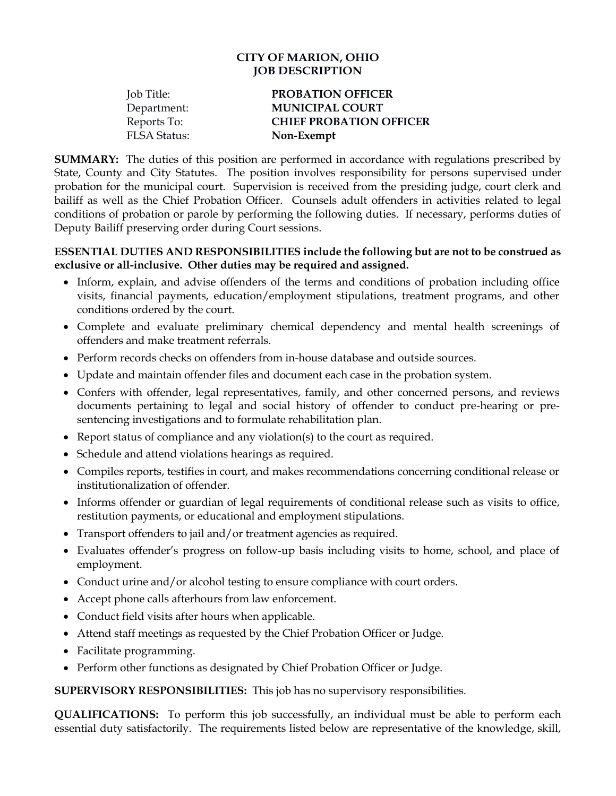#### **CITY OF MARION, OHIO JOB DESCRIPTION**

| Job Title:          | <b>PROBATION OFFICER</b>       |
|---------------------|--------------------------------|
| Department:         | <b>MUNICIPAL COURT</b>         |
| Reports To:         | <b>CHIEF PROBATION OFFICER</b> |
| <b>FLSA Status:</b> | Non-Exempt                     |
|                     |                                |

**SUMMARY:** The duties of this position are performed in accordance with regulations prescribed by State, County and City Statutes. The position involves responsibility for persons supervised under probation for the municipal court. Supervision is received from the presiding judge, court clerk and bailiff as well as the Chief Probation Officer. Counsels adult offenders in activities related to legal conditions of probation or parole by performing the following duties. If necessary, performs duties of Deputy Bailiff preserving order during Court sessions.

#### **ESSENTIAL DUTIES AND RESPONSIBILITIES include the following but are not to be construed as exclusive or all-inclusive. Other duties may be required and assigned.**

- Inform, explain, and advise offenders of the terms and conditions of probation including office visits, financial payments, education/employment stipulations, treatment programs, and other conditions ordered by the court.
- Complete and evaluate preliminary chemical dependency and mental health screenings of offenders and make treatment referrals.
- Perform records checks on offenders from in-house database and outside sources.
- Update and maintain offender files and document each case in the probation system.
- Confers with offender, legal representatives, family, and other concerned persons, and reviews documents pertaining to legal and social history of offender to conduct pre-hearing or presentencing investigations and to formulate rehabilitation plan.
- Report status of compliance and any violation(s) to the court as required.
- Schedule and attend violations hearings as required.
- Compiles reports, testifies in court, and makes recommendations concerning conditional release or institutionalization of offender.
- Informs offender or guardian of legal requirements of conditional release such as visits to office, restitution payments, or educational and employment stipulations.
- Transport offenders to jail and/or treatment agencies as required.
- Evaluates offender's progress on follow-up basis including visits to home, school, and place of employment.
- Conduct urine and/or alcohol testing to ensure compliance with court orders.
- Accept phone calls afterhours from law enforcement.
- Conduct field visits after hours when applicable.
- Attend staff meetings as requested by the Chief Probation Officer or Judge.
- Facilitate programming.
- Perform other functions as designated by Chief Probation Officer or Judge.

**SUPERVISORY RESPONSIBILITIES:** This job has no supervisory responsibilities.

**QUALIFICATIONS:** To perform this job successfully, an individual must be able to perform each essential duty satisfactorily. The requirements listed below are representative of the knowledge, skill,